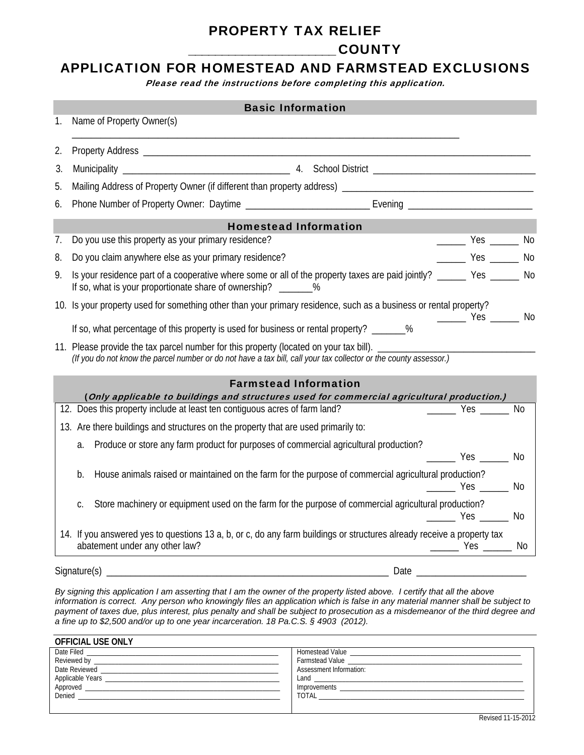# PROPERTY TAX RELIEF

\_\_\_\_\_\_\_\_\_\_\_\_\_\_\_\_\_\_\_\_\_\_ COUNTY

# APPLICATION FOR HOMESTEAD AND FARMSTEAD EXCLUSIONS

Please read the instructions before completing this application.

| <b>Basic Information</b>     |                                                                                                                                                                                                                                                                                                                                                                                                                                                                                                                                                                                                               |    |  |
|------------------------------|---------------------------------------------------------------------------------------------------------------------------------------------------------------------------------------------------------------------------------------------------------------------------------------------------------------------------------------------------------------------------------------------------------------------------------------------------------------------------------------------------------------------------------------------------------------------------------------------------------------|----|--|
| 1.                           | Name of Property Owner(s)                                                                                                                                                                                                                                                                                                                                                                                                                                                                                                                                                                                     |    |  |
| 2.                           |                                                                                                                                                                                                                                                                                                                                                                                                                                                                                                                                                                                                               |    |  |
| 3.                           |                                                                                                                                                                                                                                                                                                                                                                                                                                                                                                                                                                                                               |    |  |
| 5.                           |                                                                                                                                                                                                                                                                                                                                                                                                                                                                                                                                                                                                               |    |  |
| 6.                           |                                                                                                                                                                                                                                                                                                                                                                                                                                                                                                                                                                                                               |    |  |
| <b>Homestead Information</b> |                                                                                                                                                                                                                                                                                                                                                                                                                                                                                                                                                                                                               |    |  |
| 7.                           | Do you use this property as your primary residence?                                                                                                                                                                                                                                                                                                                                                                                                                                                                                                                                                           |    |  |
| 8.                           | <u>________</u> Yes _______ No<br>Do you claim anywhere else as your primary residence?                                                                                                                                                                                                                                                                                                                                                                                                                                                                                                                       |    |  |
| 9.                           | Is your residence part of a cooperative where some or all of the property taxes are paid jointly? ______ Yes ______ No<br>If so, what is your proportionate share of ownership? ________%                                                                                                                                                                                                                                                                                                                                                                                                                     |    |  |
|                              | 10. Is your property used for something other than your primary residence, such as a business or rental property?                                                                                                                                                                                                                                                                                                                                                                                                                                                                                             |    |  |
|                              | $\frac{1}{2}$ Yes $\frac{1}{2}$ No<br>If so, what percentage of this property is used for business or rental property? _______%                                                                                                                                                                                                                                                                                                                                                                                                                                                                               |    |  |
|                              | 11. Please provide the tax parcel number for this property (located on your tax bill). (If you do not know the parcel number or do not have a tax bill, call your tax collector or the county assessor.)                                                                                                                                                                                                                                                                                                                                                                                                      |    |  |
| <b>Farmstead Information</b> |                                                                                                                                                                                                                                                                                                                                                                                                                                                                                                                                                                                                               |    |  |
|                              | (Only applicable to buildings and structures used for commercial agricultural production.)<br>12. Does this property include at least ten contiguous acres of farm land?<br>$\frac{1}{\sqrt{1-\frac{1}{\sqrt{1-\frac{1}{\sqrt{1-\frac{1}{\sqrt{1-\frac{1}{\sqrt{1-\frac{1}{\sqrt{1-\frac{1}{\sqrt{1-\frac{1}{\sqrt{1-\frac{1}{\sqrt{1-\frac{1}{\sqrt{1-\frac{1}{\sqrt{1-\frac{1}{\sqrt{1-\frac{1}{\sqrt{1-\frac{1}{\sqrt{1-\frac{1}{\sqrt{1-\frac{1}{\sqrt{1-\frac{1}{\sqrt{1-\frac{1}{\sqrt{1-\frac{1}{\sqrt{1-\frac{1}{\sqrt{1-\frac{1}{\sqrt{1-\frac{1}{\sqrt{1-\frac{1}{\sqrt{1-\frac{1}{\sqrt{1-\frac{1$ |    |  |
|                              | 13. Are there buildings and structures on the property that are used primarily to:                                                                                                                                                                                                                                                                                                                                                                                                                                                                                                                            |    |  |
|                              | Produce or store any farm product for purposes of commercial agricultural production?<br>a.                                                                                                                                                                                                                                                                                                                                                                                                                                                                                                                   |    |  |
|                              | <u>______</u> Yes ______ No                                                                                                                                                                                                                                                                                                                                                                                                                                                                                                                                                                                   |    |  |
|                              | House animals raised or maintained on the farm for the purpose of commercial agricultural production?<br>b.<br><u>________</u> Yes ______                                                                                                                                                                                                                                                                                                                                                                                                                                                                     | No |  |
|                              | Store machinery or equipment used on the farm for the purpose of commercial agricultural production?<br>C.<br>________ Yes _______ No                                                                                                                                                                                                                                                                                                                                                                                                                                                                         |    |  |
|                              | 14. If you answered yes to questions 13 a, b, or c, do any farm buildings or structures already receive a property tax<br>abatement under any other law?<br>$\frac{1}{\sqrt{1-\frac{1}{\sqrt{1-\frac{1}{\sqrt{1-\frac{1}{\sqrt{1-\frac{1}{\sqrt{1-\frac{1}{\sqrt{1-\frac{1}{\sqrt{1-\frac{1}{\sqrt{1-\frac{1}{\sqrt{1-\frac{1}{\sqrt{1-\frac{1}{\sqrt{1-\frac{1}{\sqrt{1-\frac{1}{\sqrt{1-\frac{1}{\sqrt{1-\frac{1}{\sqrt{1-\frac{1}{\sqrt{1-\frac{1}{\sqrt{1-\frac{1}{\sqrt{1-\frac{1}{\sqrt{1-\frac{1}{\sqrt{1-\frac{1}{\sqrt{1-\frac{1}{\sqrt{1-\frac{1}{\sqrt{1-\frac{1}{\sqrt{1-\frac{1$                 |    |  |

Signature(s) \_\_\_\_\_\_\_\_\_\_\_\_\_\_\_\_\_\_\_\_\_\_\_\_\_\_\_\_\_\_\_\_\_\_\_\_\_\_\_\_\_\_\_\_\_\_\_\_\_\_\_\_\_\_\_\_\_\_\_ Date \_\_\_\_\_\_\_\_\_\_\_\_\_\_\_\_\_\_\_\_\_\_\_

*By signing this application I am asserting that I am the owner of the property listed above. I certify that all the above information is correct. Any person who knowingly files an application which is false in any material manner shall be subject to payment of taxes due, plus interest, plus penalty and shall be subject to prosecution as a misdemeanor of the third degree and a fine up to \$2,500 and/or up to one year incarceration. 18 Pa.C.S. § 4903 (2012).* 

| <b>OFFICIAL USE ONLY</b>                                                           |                                                                                                                                         |  |  |
|------------------------------------------------------------------------------------|-----------------------------------------------------------------------------------------------------------------------------------------|--|--|
| Date Filed                                                                         | Homestead Value<br><u> 1980 - Jan Berlin, margaret amerikan beste beste beste beste beste beste beste beste beste beste beste beste</u> |  |  |
|                                                                                    | <b>Farmstead Value</b><br><u> 1980 - Jan Barnett, fransk politik (d. 1980)</u>                                                          |  |  |
| Date Reviewed<br><u> 1980 - Jan Berlin, margaret amerikan bizkaitar (h. 1980).</u> | Assessment Information:                                                                                                                 |  |  |
|                                                                                    |                                                                                                                                         |  |  |
| Approved                                                                           | Improvements                                                                                                                            |  |  |
| Denied                                                                             | TOTAL                                                                                                                                   |  |  |
|                                                                                    |                                                                                                                                         |  |  |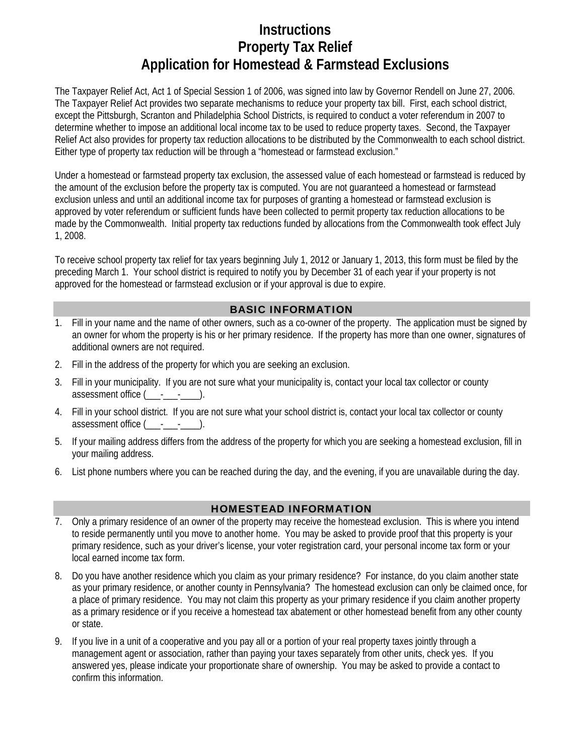# **Instructions Property Tax Relief Application for Homestead & Farmstead Exclusions**

The Taxpayer Relief Act, Act 1 of Special Session 1 of 2006, was signed into law by Governor Rendell on June 27, 2006. The Taxpayer Relief Act provides two separate mechanisms to reduce your property tax bill. First, each school district, except the Pittsburgh, Scranton and Philadelphia School Districts, is required to conduct a voter referendum in 2007 to determine whether to impose an additional local income tax to be used to reduce property taxes. Second, the Taxpayer Relief Act also provides for property tax reduction allocations to be distributed by the Commonwealth to each school district. Either type of property tax reduction will be through a "homestead or farmstead exclusion."

Under a homestead or farmstead property tax exclusion, the assessed value of each homestead or farmstead is reduced by the amount of the exclusion before the property tax is computed. You are not guaranteed a homestead or farmstead exclusion unless and until an additional income tax for purposes of granting a homestead or farmstead exclusion is approved by voter referendum or sufficient funds have been collected to permit property tax reduction allocations to be made by the Commonwealth. Initial property tax reductions funded by allocations from the Commonwealth took effect July 1, 2008.

To receive school property tax relief for tax years beginning July 1, 2012 or January 1, 2013, this form must be filed by the preceding March 1. Your school district is required to notify you by December 31 of each year if your property is not approved for the homestead or farmstead exclusion or if your approval is due to expire.

#### BASIC INFORMATION

- 1. Fill in your name and the name of other owners, such as a co-owner of the property. The application must be signed by an owner for whom the property is his or her primary residence. If the property has more than one owner, signatures of additional owners are not required.
- 2. Fill in the address of the property for which you are seeking an exclusion.
- 3. Fill in your municipality. If you are not sure what your municipality is, contact your local tax collector or county assessment office (  $\qquad$  -  $\qquad$  ).
- 4. Fill in your school district. If you are not sure what your school district is, contact your local tax collector or county assessment office (\_\_\_-\_\_\_-\_\_\_\_).
- 5. If your mailing address differs from the address of the property for which you are seeking a homestead exclusion, fill in your mailing address.
- 6. List phone numbers where you can be reached during the day, and the evening, if you are unavailable during the day.

#### HOMESTEAD INFORMATION

- 7. Only a primary residence of an owner of the property may receive the homestead exclusion. This is where you intend to reside permanently until you move to another home. You may be asked to provide proof that this property is your primary residence, such as your driver's license, your voter registration card, your personal income tax form or your local earned income tax form.
- 8. Do you have another residence which you claim as your primary residence? For instance, do you claim another state as your primary residence, or another county in Pennsylvania? The homestead exclusion can only be claimed once, for a place of primary residence. You may not claim this property as your primary residence if you claim another property as a primary residence or if you receive a homestead tax abatement or other homestead benefit from any other county or state.
- 9. If you live in a unit of a cooperative and you pay all or a portion of your real property taxes jointly through a management agent or association, rather than paying your taxes separately from other units, check yes. If you answered yes, please indicate your proportionate share of ownership. You may be asked to provide a contact to confirm this information.